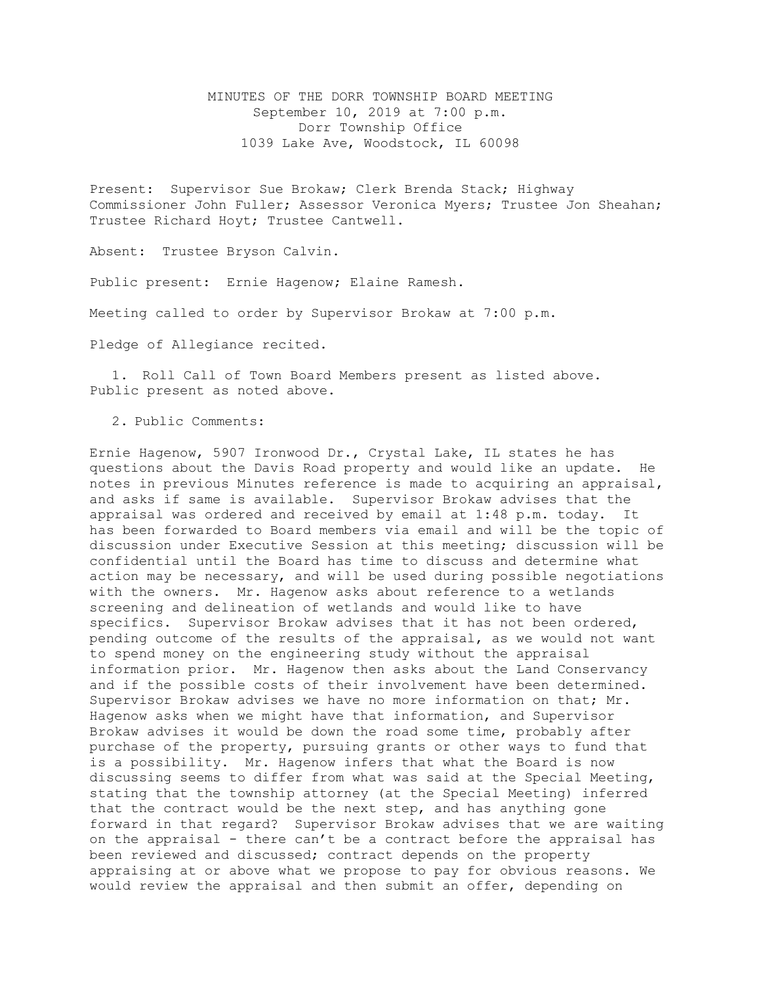MINUTES OF THE DORR TOWNSHIP BOARD MEETING September 10, 2019 at 7:00 p.m. Dorr Township Office 1039 Lake Ave, Woodstock, IL 60098

Present: Supervisor Sue Brokaw; Clerk Brenda Stack; Highway Commissioner John Fuller; Assessor Veronica Myers; Trustee Jon Sheahan; Trustee Richard Hoyt; Trustee Cantwell.

Absent: Trustee Bryson Calvin.

Public present: Ernie Hagenow; Elaine Ramesh.

Meeting called to order by Supervisor Brokaw at 7:00 p.m.

Pledge of Allegiance recited.

1. Roll Call of Town Board Members present as listed above. Public present as noted above.

2. Public Comments:

Ernie Hagenow, 5907 Ironwood Dr., Crystal Lake, IL states he has questions about the Davis Road property and would like an update. He notes in previous Minutes reference is made to acquiring an appraisal, and asks if same is available. Supervisor Brokaw advises that the appraisal was ordered and received by email at 1:48 p.m. today. It has been forwarded to Board members via email and will be the topic of discussion under Executive Session at this meeting; discussion will be confidential until the Board has time to discuss and determine what action may be necessary, and will be used during possible negotiations with the owners. Mr. Hagenow asks about reference to a wetlands screening and delineation of wetlands and would like to have specifics. Supervisor Brokaw advises that it has not been ordered, pending outcome of the results of the appraisal, as we would not want to spend money on the engineering study without the appraisal information prior. Mr. Hagenow then asks about the Land Conservancy and if the possible costs of their involvement have been determined. Supervisor Brokaw advises we have no more information on that; Mr. Hagenow asks when we might have that information, and Supervisor Brokaw advises it would be down the road some time, probably after purchase of the property, pursuing grants or other ways to fund that is a possibility. Mr. Hagenow infers that what the Board is now discussing seems to differ from what was said at the Special Meeting, stating that the township attorney (at the Special Meeting) inferred that the contract would be the next step, and has anything gone forward in that regard? Supervisor Brokaw advises that we are waiting on the appraisal - there can't be a contract before the appraisal has been reviewed and discussed; contract depends on the property appraising at or above what we propose to pay for obvious reasons. We would review the appraisal and then submit an offer, depending on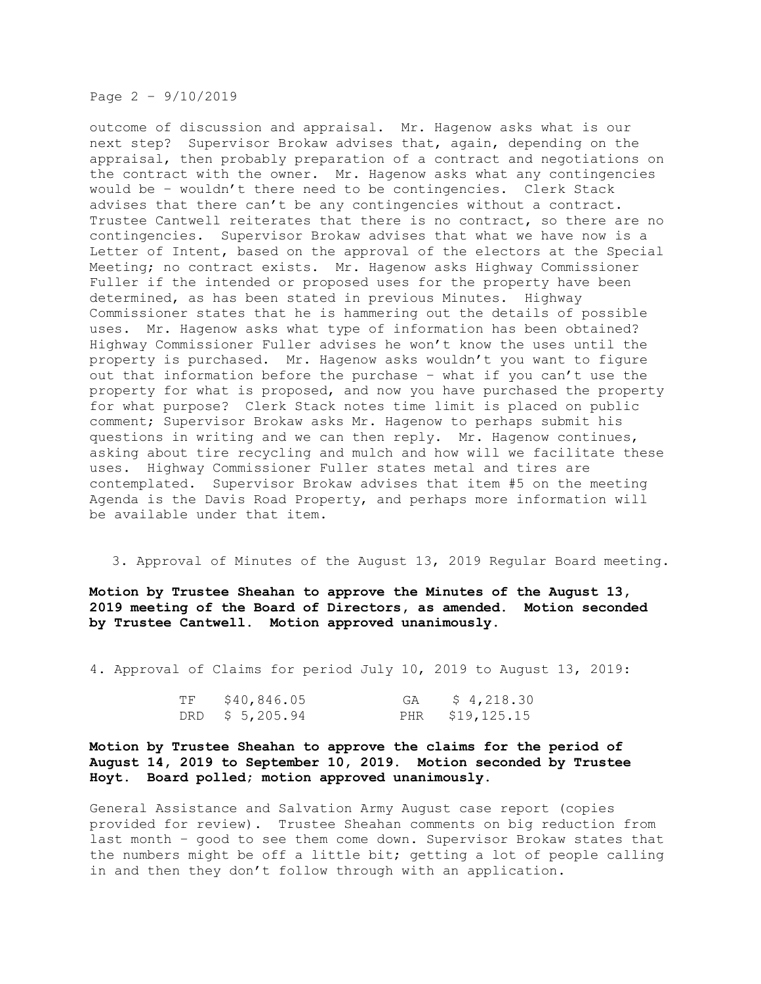Page 2 – 9/10/2019

outcome of discussion and appraisal. Mr. Hagenow asks what is our next step? Supervisor Brokaw advises that, again, depending on the appraisal, then probably preparation of a contract and negotiations on the contract with the owner. Mr. Hagenow asks what any contingencies would be – wouldn't there need to be contingencies. Clerk Stack advises that there can't be any contingencies without a contract. Trustee Cantwell reiterates that there is no contract, so there are no contingencies. Supervisor Brokaw advises that what we have now is a Letter of Intent, based on the approval of the electors at the Special Meeting; no contract exists. Mr. Hagenow asks Highway Commissioner Fuller if the intended or proposed uses for the property have been determined, as has been stated in previous Minutes. Highway Commissioner states that he is hammering out the details of possible uses. Mr. Hagenow asks what type of information has been obtained? Highway Commissioner Fuller advises he won't know the uses until the property is purchased. Mr. Hagenow asks wouldn't you want to figure out that information before the purchase – what if you can't use the property for what is proposed, and now you have purchased the property for what purpose? Clerk Stack notes time limit is placed on public comment; Supervisor Brokaw asks Mr. Hagenow to perhaps submit his questions in writing and we can then reply. Mr. Hagenow continues, asking about tire recycling and mulch and how will we facilitate these uses. Highway Commissioner Fuller states metal and tires are contemplated. Supervisor Brokaw advises that item #5 on the meeting Agenda is the Davis Road Property, and perhaps more information will be available under that item.

3. Approval of Minutes of the August 13, 2019 Regular Board meeting.

**Motion by Trustee Sheahan to approve the Minutes of the August 13, 2019 meeting of the Board of Directors, as amended. Motion seconded by Trustee Cantwell. Motion approved unanimously.** 

4. Approval of Claims for period July 10, 2019 to August 13, 2019:

| TF | \$40,846.05     | GA $$4,218.30$  |
|----|-----------------|-----------------|
|    | DRD \$ 5,205.94 | PHR \$19,125.15 |

**Motion by Trustee Sheahan to approve the claims for the period of August 14, 2019 to September 10, 2019. Motion seconded by Trustee Hoyt. Board polled; motion approved unanimously.**

General Assistance and Salvation Army August case report (copies provided for review). Trustee Sheahan comments on big reduction from last month – good to see them come down. Supervisor Brokaw states that the numbers might be off a little bit; getting a lot of people calling in and then they don't follow through with an application.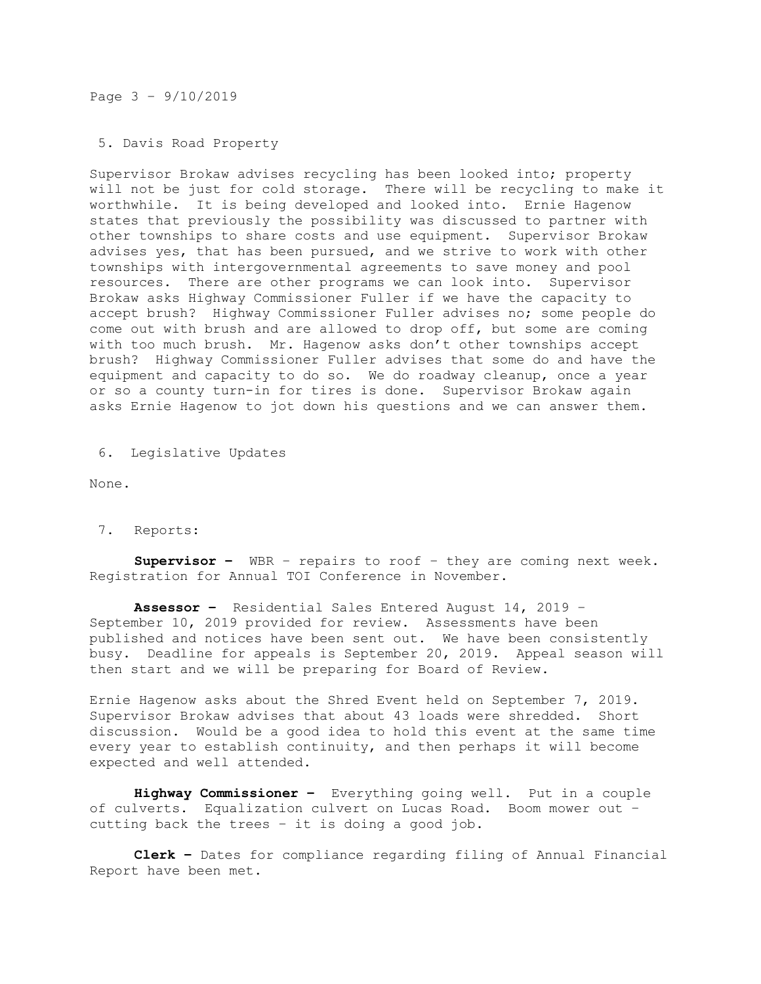## Page 3 – 9/10/2019

## 5. Davis Road Property

Supervisor Brokaw advises recycling has been looked into; property will not be just for cold storage. There will be recycling to make it worthwhile. It is being developed and looked into. Ernie Hagenow states that previously the possibility was discussed to partner with other townships to share costs and use equipment. Supervisor Brokaw advises yes, that has been pursued, and we strive to work with other townships with intergovernmental agreements to save money and pool resources. There are other programs we can look into. Supervisor Brokaw asks Highway Commissioner Fuller if we have the capacity to accept brush? Highway Commissioner Fuller advises no; some people do come out with brush and are allowed to drop off, but some are coming with too much brush. Mr. Hagenow asks don't other townships accept brush? Highway Commissioner Fuller advises that some do and have the equipment and capacity to do so. We do roadway cleanup, once a year or so a county turn-in for tires is done. Supervisor Brokaw again asks Ernie Hagenow to jot down his questions and we can answer them.

6. Legislative Updates

None.

## 7. Reports:

**Supervisor –** WBR – repairs to roof – they are coming next week. Registration for Annual TOI Conference in November.

**Assessor –** Residential Sales Entered August 14, 2019 – September 10, 2019 provided for review. Assessments have been published and notices have been sent out. We have been consistently busy. Deadline for appeals is September 20, 2019. Appeal season will then start and we will be preparing for Board of Review.

Ernie Hagenow asks about the Shred Event held on September 7, 2019. Supervisor Brokaw advises that about 43 loads were shredded. Short discussion. Would be a good idea to hold this event at the same time every year to establish continuity, and then perhaps it will become expected and well attended.

**Highway Commissioner –** Everything going well. Put in a couple of culverts. Equalization culvert on Lucas Road. Boom mower out – cutting back the trees – it is doing a good job.

**Clerk –** Dates for compliance regarding filing of Annual Financial Report have been met.